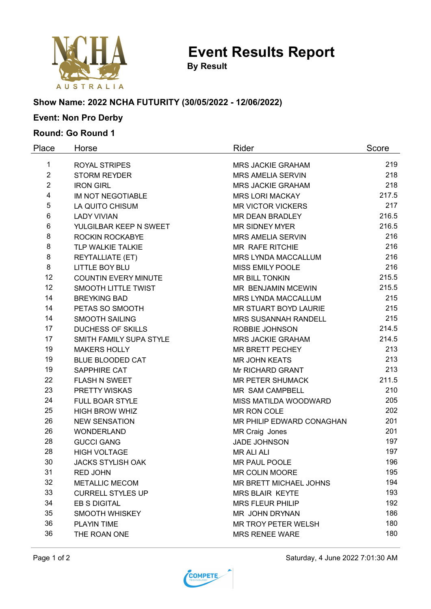

**Event Results Report**

**By Result**

### **Show Name: 2022 NCHA FUTURITY (30/05/2022 - 12/06/2022)**

# **Event: Non Pro Derby**

### **Round: Go Round 1**

| Place          | Horse                       | Rider                       | Score |
|----------------|-----------------------------|-----------------------------|-------|
| 1              | <b>ROYAL STRIPES</b>        | <b>MRS JACKIE GRAHAM</b>    | 219   |
| $\overline{2}$ | <b>STORM REYDER</b>         | <b>MRS AMELIA SERVIN</b>    | 218   |
| $\overline{2}$ | <b>IRON GIRL</b>            | <b>MRS JACKIE GRAHAM</b>    | 218   |
| 4              | <b>IM NOT NEGOTIABLE</b>    | <b>MRS LORI MACKAY</b>      | 217.5 |
| 5              | LA QUITO CHISUM             | <b>MR VICTOR VICKERS</b>    | 217   |
| 6              | <b>LADY VIVIAN</b>          | MR DEAN BRADLEY             | 216.5 |
| 6              | YULGILBAR KEEP N SWEET      | <b>MR SIDNEY MYER</b>       | 216.5 |
| 8              | ROCKIN ROCKABYE             | <b>MRS AMELIA SERVIN</b>    | 216   |
| 8              | TLP WALKIE TALKIE           | MR RAFE RITCHIE             | 216   |
| 8              | REYTALLIATE (ET)            | MRS LYNDA MACCALLUM         | 216   |
| 8              | <b>LITTLE BOY BLU</b>       | MISS EMILY POOLE            | 216   |
| 12             | <b>COUNTIN EVERY MINUTE</b> | <b>MR BILL TONKIN</b>       | 215.5 |
| 12             | <b>SMOOTH LITTLE TWIST</b>  | MR BENJAMIN MCEWIN          | 215.5 |
| 14             | <b>BREYKING BAD</b>         | MRS LYNDA MACCALLUM         | 215   |
| 14             | PETAS SO SMOOTH             | MR STUART BOYD LAURIE       | 215   |
| 14             | <b>SMOOTH SAILING</b>       | <b>MRS SUSANNAH RANDELL</b> | 215   |
| 17             | <b>DUCHESS OF SKILLS</b>    | <b>ROBBIE JOHNSON</b>       | 214.5 |
| 17             | SMITH FAMILY SUPA STYLE     | <b>MRS JACKIE GRAHAM</b>    | 214.5 |
| 19             | <b>MAKERS HOLLY</b>         | MR BRETT PECHEY             | 213   |
| 19             | <b>BLUE BLOODED CAT</b>     | <b>MR JOHN KEATS</b>        | 213   |
| 19             | SAPPHIRE CAT                | Mr RICHARD GRANT            | 213   |
| 22             | <b>FLASH N SWEET</b>        | <b>MR PETER SHUMACK</b>     | 211.5 |
| 23             | PRETTY WISKAS               | MR SAM CAMPBELL             | 210   |
| 24             | <b>FULL BOAR STYLE</b>      | MISS MATILDA WOODWARD       | 205   |
| 25             | <b>HIGH BROW WHIZ</b>       | MR RON COLE                 | 202   |
| 26             | <b>NEW SENSATION</b>        | MR PHILIP EDWARD CONAGHAN   | 201   |
| 26             | <b>WONDERLAND</b>           | MR Craig Jones              | 201   |
| 28             | <b>GUCCI GANG</b>           | <b>JADE JOHNSON</b>         | 197   |
| 28             | <b>HIGH VOLTAGE</b>         | <b>MR ALI ALI</b>           | 197   |
| 30             | <b>JACKS STYLISH OAK</b>    | MR PAUL POOLE               | 196   |
| 31             | <b>RED JOHN</b>             | <b>MR COLIN MOORE</b>       | 195   |
| 32             | <b>METALLIC MECOM</b>       | MR BRETT MICHAEL JOHNS      | 194   |
| 33             | <b>CURRELL STYLES UP</b>    | <b>MRS BLAIR KEYTE</b>      | 193   |
| 34             | EB S DIGITAL                | <b>MRS FLEUR PHILIP</b>     | 192   |
| 35             | <b>SMOOTH WHISKEY</b>       | MR JOHN DRYNAN              | 186   |
| 36             | <b>PLAYIN TIME</b>          | MR TROY PETER WELSH         | 180   |
| 36             | THE ROAN ONE                | <b>MRS RENEE WARE</b>       | 180   |